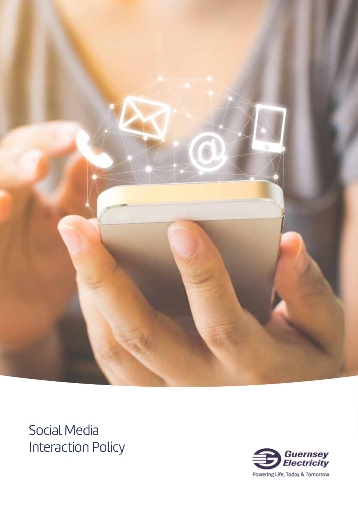

Social Media Interaction Policy

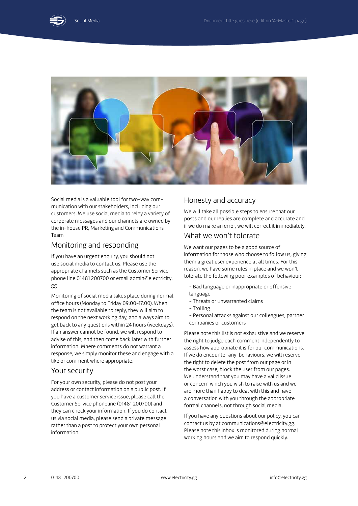



Social media is a valuable tool for two-way communication with our stakeholders, including our customers. We use social media to relay a variety of corporate messages and our channels are owned by the in-house PR, Marketing and Communications Team

## Monitoring and responding

If you have an urgent enquiry, you should not use social media to contact us. Please use the appropriate channels such as the Customer Service phone line 01481 200700 or email admin@electricity. gg

Monitoring of social media takes place during normal office hours (Monday to Friday 09:00-17:00). When the team is not available to reply, they will aim to respond on the next working day, and always aim to get back to any questions within 24 hours (weekdays). If an answer cannot be found, we will respond to advise of this, and then come back later with further information. Where comments do not warrant a response, we simply monitor these and engage with a like or comment where appropriate.

## Your security

For your own security, please do not post your address or contact information on a public post. If you have a customer service issue, please call the Customer Service phoneline (01481 200700) and they can check your information. If you do contact us via social media, please send a private message rather than a post to protect your own personal information.

## Honesty and accuracy

We will take all possible steps to ensure that our posts and our replies are complete and accurate and if we do make an error, we will correct it immediately.

## What we won't tolerate

We want our pages to be a good source of information for those who choose to follow us, giving them a great user experience at all times. For this reason, we have some rules in place and we won't tolerate the following poor examples of behaviour:

- Bad language or inappropriate or offensive language
- Threats or unwarranted claims
- Trolling
- Personal attacks against our colleagues, partner companies or customers

Please note this list is not exhaustive and we reserve the right to judge each comment independently to assess how appropriate it is for our communications. If we do encounter any behaviours, we will reserve the right to delete the post from our page or in the worst case, block the user from our pages. We understand that you may have a valid issue or concern which you wish to raise with us and we are more than happy to deal with this and have a conversation with you through the appropriate formal channels, not through social media.

If you have any questions about our policy, you can contact us by at communications@electricity.gg. Please note this inbox is monitored during normal working hours and we aim to respond quickly.